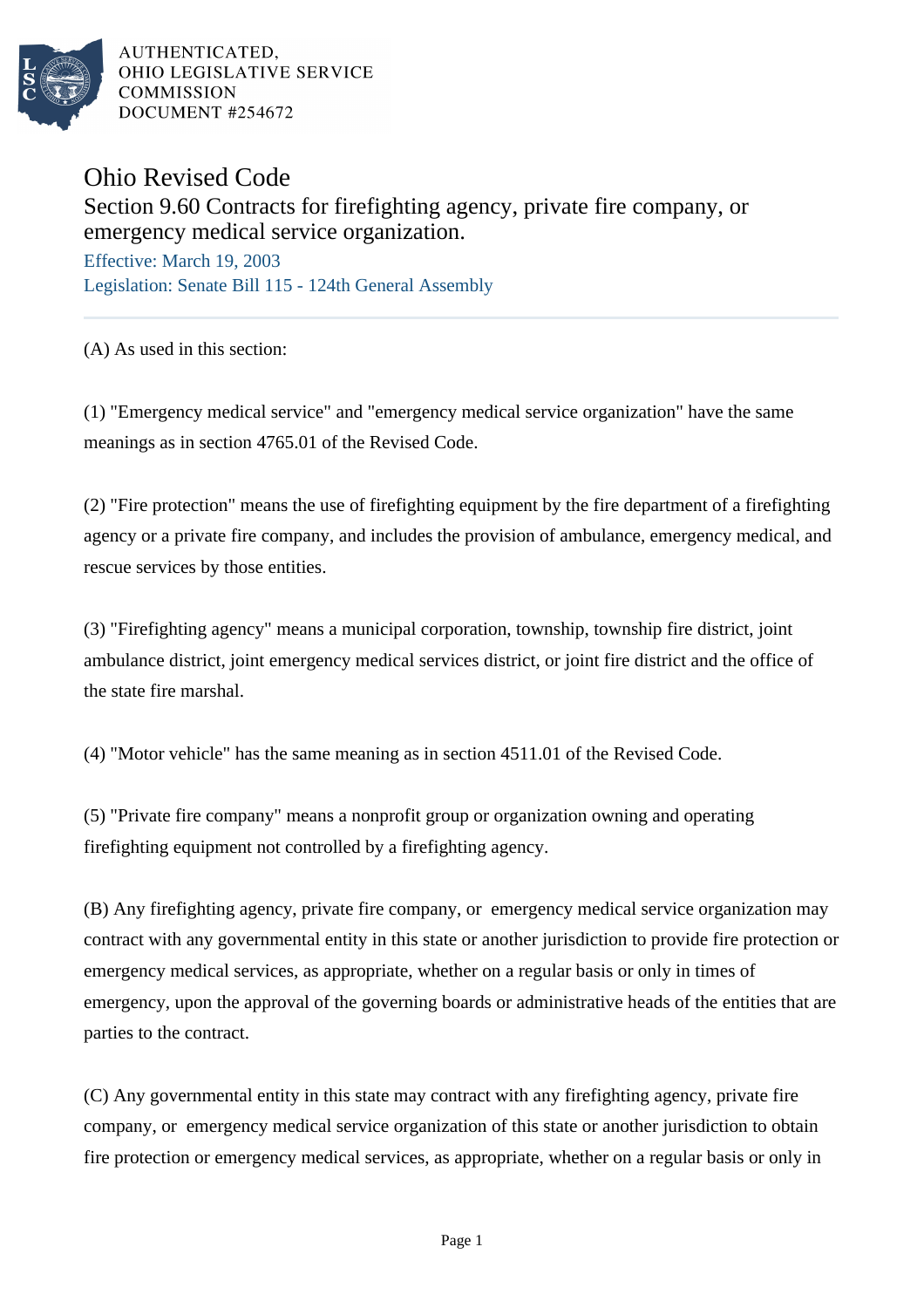

AUTHENTICATED. OHIO LEGISLATIVE SERVICE **COMMISSION** DOCUMENT #254672

## Ohio Revised Code

## Section 9.60 Contracts for firefighting agency, private fire company, or emergency medical service organization.

Effective: March 19, 2003 Legislation: Senate Bill 115 - 124th General Assembly

(A) As used in this section:

(1) "Emergency medical service" and "emergency medical service organization" have the same meanings as in section 4765.01 of the Revised Code.

(2) "Fire protection" means the use of firefighting equipment by the fire department of a firefighting agency or a private fire company, and includes the provision of ambulance, emergency medical, and rescue services by those entities.

(3) "Firefighting agency" means a municipal corporation, township, township fire district, joint ambulance district, joint emergency medical services district, or joint fire district and the office of the state fire marshal.

(4) "Motor vehicle" has the same meaning as in section 4511.01 of the Revised Code.

(5) "Private fire company" means a nonprofit group or organization owning and operating firefighting equipment not controlled by a firefighting agency.

(B) Any firefighting agency, private fire company, or emergency medical service organization may contract with any governmental entity in this state or another jurisdiction to provide fire protection or emergency medical services, as appropriate, whether on a regular basis or only in times of emergency, upon the approval of the governing boards or administrative heads of the entities that are parties to the contract.

(C) Any governmental entity in this state may contract with any firefighting agency, private fire company, or emergency medical service organization of this state or another jurisdiction to obtain fire protection or emergency medical services, as appropriate, whether on a regular basis or only in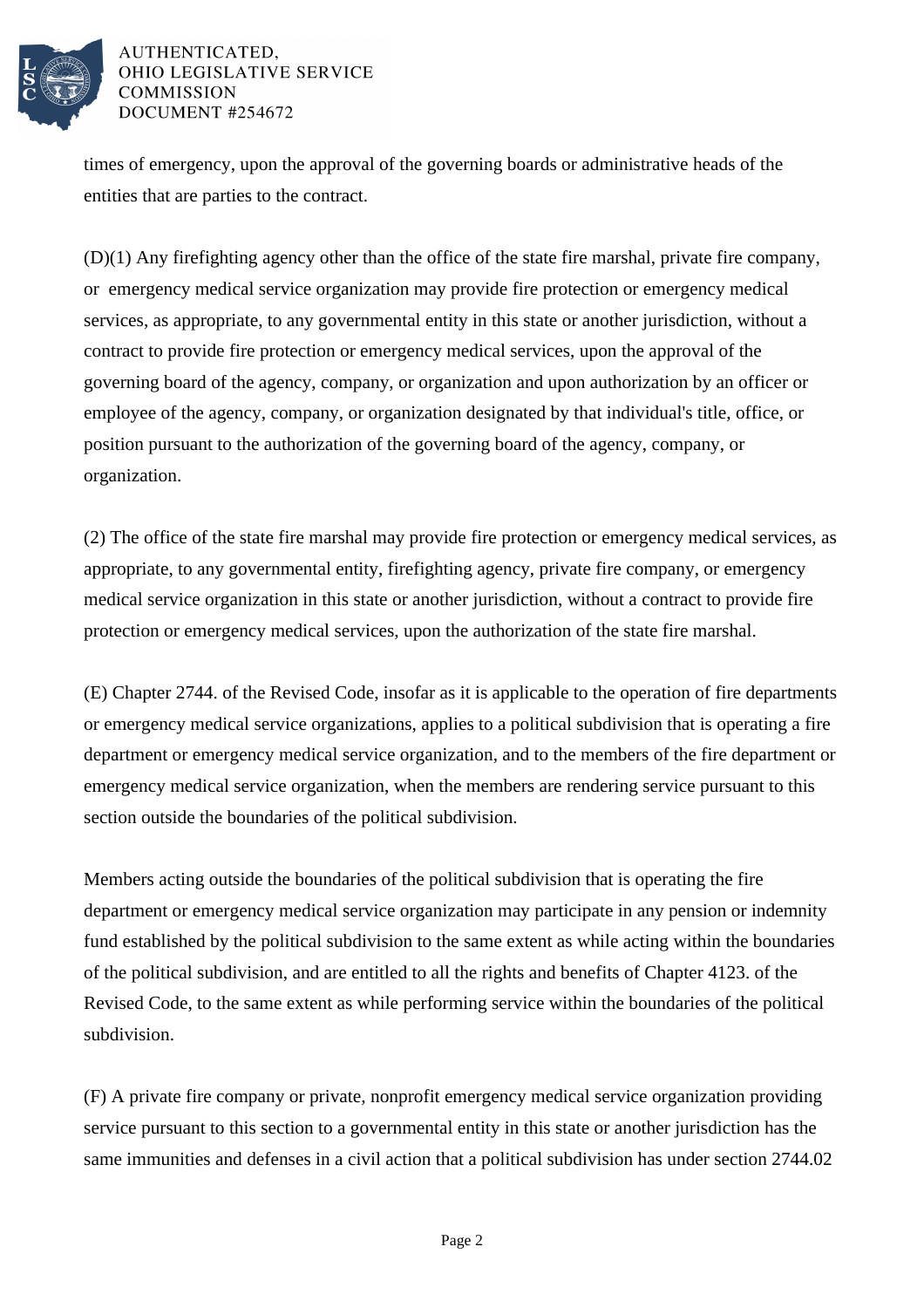

## AUTHENTICATED, OHIO LEGISLATIVE SERVICE **COMMISSION** DOCUMENT #254672

times of emergency, upon the approval of the governing boards or administrative heads of the entities that are parties to the contract.

(D)(1) Any firefighting agency other than the office of the state fire marshal, private fire company, or emergency medical service organization may provide fire protection or emergency medical services, as appropriate, to any governmental entity in this state or another jurisdiction, without a contract to provide fire protection or emergency medical services, upon the approval of the governing board of the agency, company, or organization and upon authorization by an officer or employee of the agency, company, or organization designated by that individual's title, office, or position pursuant to the authorization of the governing board of the agency, company, or organization.

(2) The office of the state fire marshal may provide fire protection or emergency medical services, as appropriate, to any governmental entity, firefighting agency, private fire company, or emergency medical service organization in this state or another jurisdiction, without a contract to provide fire protection or emergency medical services, upon the authorization of the state fire marshal.

(E) Chapter 2744. of the Revised Code, insofar as it is applicable to the operation of fire departments or emergency medical service organizations, applies to a political subdivision that is operating a fire department or emergency medical service organization, and to the members of the fire department or emergency medical service organization, when the members are rendering service pursuant to this section outside the boundaries of the political subdivision.

Members acting outside the boundaries of the political subdivision that is operating the fire department or emergency medical service organization may participate in any pension or indemnity fund established by the political subdivision to the same extent as while acting within the boundaries of the political subdivision, and are entitled to all the rights and benefits of Chapter 4123. of the Revised Code, to the same extent as while performing service within the boundaries of the political subdivision.

(F) A private fire company or private, nonprofit emergency medical service organization providing service pursuant to this section to a governmental entity in this state or another jurisdiction has the same immunities and defenses in a civil action that a political subdivision has under section 2744.02